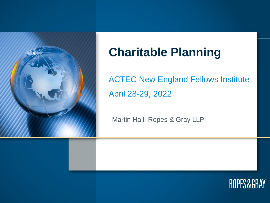

# **Charitable Planning**

ACTEC New England Fellows Institute April 28-29, 2022

Martin Hall, Ropes & Gray LLP

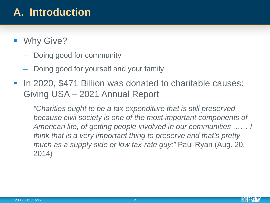## **A. Introduction**

- **Why Give?** 
	- Doing good for community
	- Doing good for yourself and your family
- **In 2020, \$471 Billion was donated to charitable causes:** Giving USA – 2021 Annual Report

*"Charities ought to be a tax expenditure that is still preserved because civil society is one of the most important components of American life, of getting people involved in our communities …… I think that is a very important thing to preserve and that's pretty much as a supply side or low tax-rate guy:"* Paul Ryan (Aug. 20, 2014)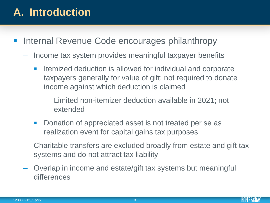## **A. Introduction**

- **Internal Revenue Code encourages philanthropy** 
	- Income tax system provides meaningful taxpayer benefits
		- **Itemized deduction is allowed for individual and corporate** taxpayers generally for value of gift; not required to donate income against which deduction is claimed
			- Limited non-itemizer deduction available in 2021; not extended
		- Donation of appreciated asset is not treated per se as realization event for capital gains tax purposes
	- Charitable transfers are excluded broadly from estate and gift tax systems and do not attract tax liability
	- Overlap in income and estate/gift tax systems but meaningful differences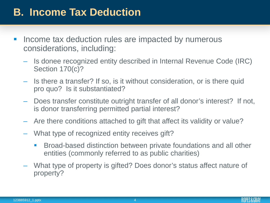- **Income tax deduction rules are impacted by numerous** considerations, including:
	- Is donee recognized entity described in Internal Revenue Code (IRC) Section 170(c)?
	- Is there a transfer? If so, is it without consideration, or is there quid pro quo? Is it substantiated?
	- Does transfer constitute outright transfer of all donor's interest? If not, is donor transferring permitted partial interest?
	- Are there conditions attached to gift that affect its validity or value?
	- What type of recognized entity receives gift?
		- Broad-based distinction between private foundations and all other entities (commonly referred to as public charities)
	- What type of property is gifted? Does donor's status affect nature of property?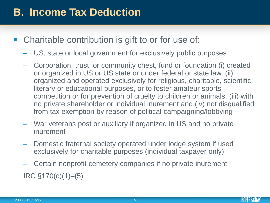- Charitable contribution is gift to or for use of:
	- US, state or local government for exclusively public purposes
	- Corporation, trust, or community chest, fund or foundation (i) created or organized in US or US state or under federal or state law, (ii) organized and operated exclusively for religious, charitable, scientific, literary or educational purposes, or to foster amateur sports competition or for prevention of cruelty to children or animals, (iii) with no private shareholder or individual inurement and (iv) not disqualified from tax exemption by reason of political campaigning/lobbying
	- War veterans post or auxiliary if organized in US and no private inurement
	- Domestic fraternal society operated under lodge system if used exclusively for charitable purposes (individual taxpayer only)
	- Certain nonprofit cemetery companies if no private inurement IRC §170(c)(1)–(5)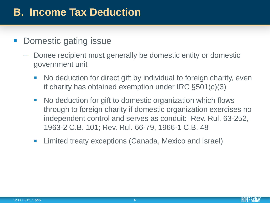#### **-** Domestic gating issue

- Donee recipient must generally be domestic entity or domestic government unit
	- No deduction for direct gift by individual to foreign charity, even if charity has obtained exemption under IRC §501(c)(3)
	- **No deduction for gift to domestic organization which flows** through to foreign charity if domestic organization exercises no independent control and serves as conduit: Rev. Rul. 63-252, 1963-2 C.B. 101; Rev. Rul. 66-79, 1966-1 C.B. 48
	- **E** Limited treaty exceptions (Canada, Mexico and Israel)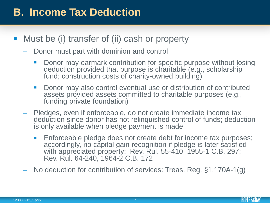- **Must be (i) transfer of (ii) cash or property** 
	- Donor must part with dominion and control
		- Donor may earmark contribution for specific purpose without losing deduction provided that purpose is charitable (e.g., scholarship fund; construction costs of charity-owned building)
		- **Donor may also control eventual use or distribution of contributed** assets provided assets committed to charitable purposes (e.g., funding private foundation)
	- Pledges, even if enforceable, do not create immediate income tax deduction since donor has not relinquished control of funds; deduction is only available when pledge payment is made
		- **Enforceable pledge does not create debt for income tax purposes;** accordingly, no capital gain recognition if pledge is later satisfied with appreciated property: Rev. Rul. 55-410, 1955-1 C.B. 297; Rev. Rul. 64-240, 1964-2 C.B. 172
	- No deduction for contribution of services: Treas. Reg. §1.170A-1(g)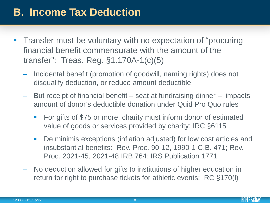- Transfer must be voluntary with no expectation of "procuring financial benefit commensurate with the amount of the transfer": Treas. Reg. §1.170A-1(c)(5)
	- Incidental benefit (promotion of goodwill, naming rights) does not disqualify deduction, or reduce amount deductible
	- But receipt of financial benefit seat at fundraising dinner impacts amount of donor's deductible donation under Quid Pro Quo rules
		- For gifts of \$75 or more, charity must inform donor of estimated value of goods or services provided by charity: IRC §6115
		- De minimis exceptions (inflation adjusted) for low cost articles and insubstantial benefits: Rev. Proc. 90-12, 1990-1 C.B. 471; Rev. Proc. 2021-45, 2021-48 IRB 764; IRS Publication 1771
	- No deduction allowed for gifts to institutions of higher education in return for right to purchase tickets for athletic events: IRC §170(l)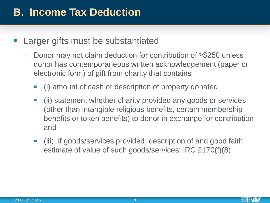- **Larger gifts must be substantiated** 
	- Donor may not claim deduction for contribution of ≥\$250 unless donor has contemporaneous written acknowledgement (paper or electronic form) of gift from charity that contains
		- (i) amount of cash or description of property donated
		- (ii) statement whether charity provided any goods or services (other than intangible religious benefits, certain membership benefits or token benefits) to donor in exchange for contribution and
		- (iii), if goods/services provided, description of and good faith estimate of value of such goods/services: IRC §170(f)(8)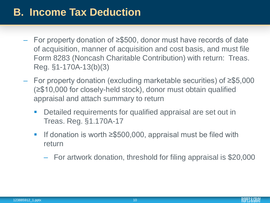- For property donation of ≥\$500, donor must have records of date of acquisition, manner of acquisition and cost basis, and must file Form 8283 (Noncash Charitable Contribution) with return: Treas. Reg. §1-170A-13(b)(3)
- For property donation (excluding marketable securities) of ≥\$5,000 (≥\$10,000 for closely-held stock), donor must obtain qualified appraisal and attach summary to return
	- Detailed requirements for qualified appraisal are set out in Treas. Reg. §1.170A-17
	- If donation is worth ≥\$500,000, appraisal must be filed with return
		- For artwork donation, threshold for filing appraisal is \$20,000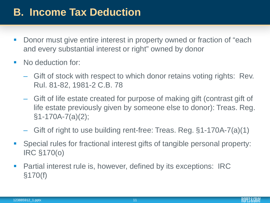- **Donor must give entire interest in property owned or fraction of "each"** and every substantial interest or right" owned by donor
- No deduction for:
	- Gift of stock with respect to which donor retains voting rights: Rev. Rul. 81-82, 1981-2 C.B. 78
	- Gift of life estate created for purpose of making gift (contrast gift of life estate previously given by someone else to donor): Treas. Reg. §1-170A-7(a)(2);
	- Gift of right to use building rent-free: Treas. Reg. §1-170A-7(a)(1)
- Special rules for fractional interest gifts of tangible personal property: IRC §170(o)
- Partial interest rule is, however, defined by its exceptions: IRC §170(f)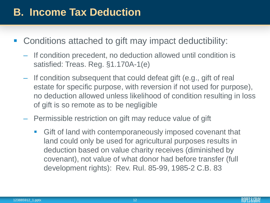- Conditions attached to gift may impact deductibility:
	- If condition precedent, no deduction allowed until condition is satisfied: Treas. Reg. §1.170A-1(e)
	- If condition subsequent that could defeat gift (e.g., gift of real estate for specific purpose, with reversion if not used for purpose), no deduction allowed unless likelihood of condition resulting in loss of gift is so remote as to be negligible
	- Permissible restriction on gift may reduce value of gift
		- **Gift of land with contemporaneously imposed covenant that** land could only be used for agricultural purposes results in deduction based on value charity receives (diminished by covenant), not value of what donor had before transfer (full development rights): Rev. Rul. 85-99, 1985-2 C.B. 83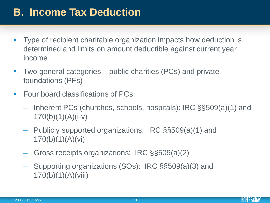- **Type of recipient charitable organization impacts how deduction is** determined and limits on amount deductible against current year income
- **Two general categories** public charities (PCs) and private foundations (PFs)
- Four board classifications of PCs:
	- Inherent PCs (churches, schools, hospitals): IRC §§509(a)(1) and  $170(b)(1)(A)(i-v)$
	- Publicly supported organizations: IRC §§509(a)(1) and 170(b)(1)(A)(vi)
	- Gross receipts organizations: IRC §§509(a)(2)
	- Supporting organizations (SOs): IRC §§509(a)(3) and 170(b)(1)(A)(viii)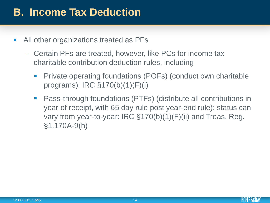- All other organizations treated as PFs
	- Certain PFs are treated, however, like PCs for income tax charitable contribution deduction rules, including
		- **Private operating foundations (POFs) (conduct own charitable** programs): IRC §170(b)(1)(F)(i)
		- Pass-through foundations (PTFs) (distribute all contributions in year of receipt, with 65 day rule post year-end rule); status can vary from year-to-year: IRC §170(b)(1)(F)(ii) and Treas. Reg. §1.170A-9(h)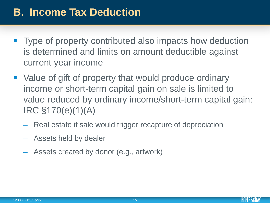- Type of property contributed also impacts how deduction is determined and limits on amount deductible against current year income
- Value of gift of property that would produce ordinary income or short-term capital gain on sale is limited to value reduced by ordinary income/short-term capital gain: IRC §170(e)(1)(A)
	- Real estate if sale would trigger recapture of depreciation
	- Assets held by dealer
	- Assets created by donor (e.g., artwork)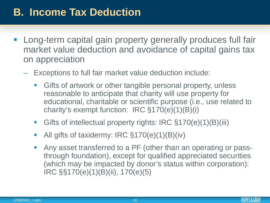- Long-term capital gain property generally produces full fair market value deduction and avoidance of capital gains tax on appreciation
	- Exceptions to full fair market value deduction include:
		- **Gifts of artwork or other tangible personal property, unless** reasonable to anticipate that charity will use property for educational, charitable or scientific purpose (i.e., use related to charity's exempt function: IRC §170(e)(1)(B)(i)
		- Gifts of intellectual property rights: IRC §170(e)(1)(B)(iii)
		- All gifts of taxidermy: IRC §170(e)(1)(B)(iv)
		- Any asset transferred to a PF (other than an operating or passthrough foundation), except for qualified appreciated securities (which may be impacted by donor's status within corporation): IRC §§170(e)(1)(B)(ii), 170(e)(5)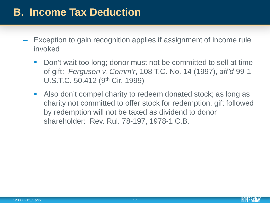- Exception to gain recognition applies if assignment of income rule invoked
	- Don't wait too long; donor must not be committed to sell at time of gift: *Ferguson v. Comm'r*, 108 T.C. No. 14 (1997), *aff'd* 99-1 U.S.T.C. 50.412 (9th Cir. 1999)
	- **Also don't compel charity to redeem donated stock; as long as** charity not committed to offer stock for redemption, gift followed by redemption will not be taxed as dividend to donor shareholder: Rev. Rul. 78-197, 1978-1 C.B.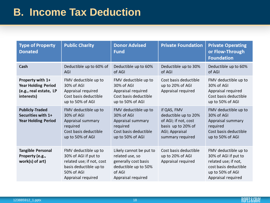| <b>Type of Property</b><br><b>Donated</b>                                              | <b>Public Charity</b>                                                                                                                   | <b>Donor Advised</b><br><b>Fund</b>                                                                                        | <b>Private Foundation</b>                                                                                               | <b>Private Operating</b><br>or Flow-Through<br><b>Foundation</b>                                                                        |
|----------------------------------------------------------------------------------------|-----------------------------------------------------------------------------------------------------------------------------------------|----------------------------------------------------------------------------------------------------------------------------|-------------------------------------------------------------------------------------------------------------------------|-----------------------------------------------------------------------------------------------------------------------------------------|
| Cash                                                                                   | Deductible up to 60% of<br>AGI                                                                                                          | Deductible up to 60%<br>of AGI                                                                                             | Deductible up to 30%<br>of AGI                                                                                          | Deductible up to 60%<br>of AGI                                                                                                          |
| Property with 1+<br><b>Year Holding Period</b><br>(e.g., real estate, LP<br>interests) | FMV deductible up to<br>30% of AGI<br>Appraisal required<br>Cost basis deductible<br>up to 50% of AGI                                   | FMV deductible up to<br>30% of AGI<br>Appraisal required<br>Cost basis deductible<br>up to 50% of AGI                      | Cost basis deductible<br>up to 20% of AGI<br>Appraisal required                                                         | FMV deductible up to<br>30% of AGI<br>Appraisal required<br>Cost basis deductible<br>up to 50% of AGI                                   |
| <b>Publicly-Traded</b><br>Securities with 1+<br><b>Year Holding Period</b>             | FMV deductible up to<br>30% of AGI<br>Appraisal summary<br>required<br>Cost basis deductible<br>up to 50% of AGI                        | FMV deductible up to<br>30% of AGI<br>Appraisal summary<br>required<br>Cost basis deductible<br>up to 50% of AGI           | if QAS, FMV<br>deductible up to 20%<br>of AGI; if not, cost<br>basis up to 20% of<br>AGI; Appraisal<br>summary required | FMV deductible up to<br>30% of AGI<br>Appraisal summary<br>required<br>Cost basis deductible<br>up to 50% of AGI                        |
| <b>Tangible Personal</b><br>Property (e.g.,<br>work(s) of art)                         | FMV deductible up to<br>30% of AGI if put to<br>related use; if not, cost<br>basis deductible up to<br>50% of AGI<br>Appraisal required | Likely cannot be put to<br>related use, so<br>generally cost basis<br>deductible up to 50%<br>of AGI<br>Appraisal required | Cost basis deductible<br>up to 20% of AGI<br>Appraisal required                                                         | FMV deductible up to<br>30% of AGI if put to<br>related use; if not,<br>cost basis deductible<br>up to 50% of AGI<br>Appraisal required |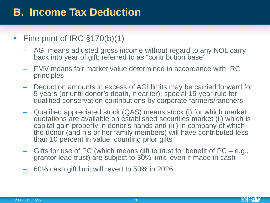#### ■ Fine print of IRC §170(b)(1)

- AGI means adjusted gross income without regard to any NOL carry back into year of gift; referred to as "contribution base"
- FMV means fair market value determined in accordance with IRC principles
- Deduction amounts in excess of AGI limits may be carried forward for 5 years (or until donor's death, if earlier); special 15-year rule for qualified conservation contributions by corporate farmers/ranchers
- Qualified appreciated stock (QAS) means stock (i) for which market quotations are available on established securities market (ii) which is capital gain property in donor's hands and (iii) in company of which the donor (and his or her family members) will have contributed less than 10 percent in value, counting prior gifts
- Gifts for use of PC (which means gift to trust for benefit of PC e.g., grantor lead trust) are subject to 30% limit, even if made in cash
- 60% cash gift limit will revert to 50% in 2026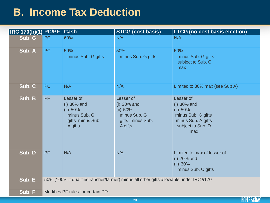| <b>IRC 170(b)(1) PC/PF Cash</b> |                                                                                       |                                                                                       | <b>STCG (cost basis)</b>                                                            | <b>LTCG (no cost basis election)</b>                                                                           |  |  |
|---------------------------------|---------------------------------------------------------------------------------------|---------------------------------------------------------------------------------------|-------------------------------------------------------------------------------------|----------------------------------------------------------------------------------------------------------------|--|--|
| Sub. G                          | <b>PC</b>                                                                             | 60%                                                                                   | N/A                                                                                 | N/A                                                                                                            |  |  |
| Sub. A                          | <b>PC</b>                                                                             | 50%<br>minus Sub. G gifts                                                             | 50%<br>minus Sub. G gifts                                                           | 50%<br>minus Sub. G gifts<br>subject to Sub. C<br>max                                                          |  |  |
| Sub. C                          | <b>PC</b>                                                                             | N/A                                                                                   | N/A                                                                                 | Limited to 30% max (see Sub A)                                                                                 |  |  |
| Sub. B                          | PF                                                                                    | Lesser of<br>$(i)$ 30% and<br>(ii) 50%<br>minus Sub. G<br>gifts minus Sub.<br>A gifts | Lesser of<br>(i) 30% and<br>(ii) 50%<br>minus Sub. G<br>gifts minus Sub.<br>A gifts | Lesser of<br>$(i)$ 30% and<br>(ii) 50%<br>minus Sub. G gifts<br>minus Sub. A gifts<br>subject to Sub. D<br>max |  |  |
| Sub. D                          | <b>PF</b>                                                                             | N/A                                                                                   | N/A                                                                                 | Limited to max of lesser of<br>(i) 20% and<br>(ii) 30%<br>minus Sub. C gifts                                   |  |  |
| Sub. E                          | 50% (100% if qualified rancher/farmer) minus all other gifts allowable under IRC §170 |                                                                                       |                                                                                     |                                                                                                                |  |  |
| Sub. F                          | Modifies PF rules for certain PFs                                                     |                                                                                       |                                                                                     |                                                                                                                |  |  |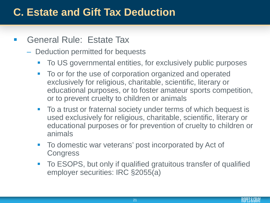#### **General Rule: Estate Tax**

#### – Deduction permitted for bequests

- **To US governmental entities, for exclusively public purposes**
- To or for the use of corporation organized and operated exclusively for religious, charitable, scientific, literary or educational purposes, or to foster amateur sports competition, or to prevent cruelty to children or animals
- To a trust or fraternal society under terms of which bequest is used exclusively for religious, charitable, scientific, literary or educational purposes or for prevention of cruelty to children or animals
- To domestic war veterans' post incorporated by Act of **Congress**
- **To ESOPS, but only if qualified gratuitous transfer of qualified** employer securities: IRC §2055(a)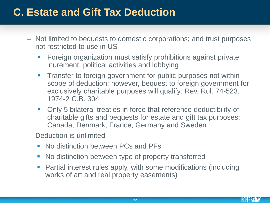- Not limited to bequests to domestic corporations; and trust purposes not restricted to use in US
	- **Foreign organization must satisfy prohibitions against private** inurement, political activities and lobbying
	- **Transfer to foreign government for public purposes not within** scope of deduction; however, bequest to foreign government for exclusively charitable purposes will qualify: Rev. Rul. 74-523, 1974-2 C.B. 304
	- Only 5 bilateral treaties in force that reference deductibility of charitable gifts and bequests for estate and gift tax purposes: Canada, Denmark, France, Germany and Sweden
- Deduction is unlimited
	- No distinction between PCs and PFs
	- No distinction between type of property transferred
	- Partial interest rules apply, with some modifications (including works of art and real property easements)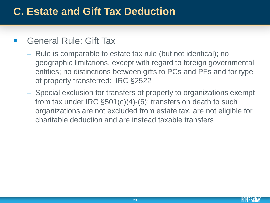#### General Rule: Gift Tax

- Rule is comparable to estate tax rule (but not identical); no geographic limitations, except with regard to foreign governmental entities; no distinctions between gifts to PCs and PFs and for type of property transferred: IRC §2522
- Special exclusion for transfers of property to organizations exempt from tax under IRC §501(c)(4)-(6); transfers on death to such organizations are not excluded from estate tax, are not eligible for charitable deduction and are instead taxable transfers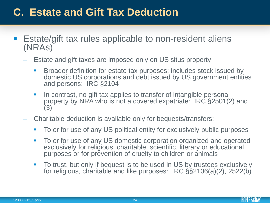- Estate/gift tax rules applicable to non-resident aliens (NRAs)
	- Estate and gift taxes are imposed only on US situs property
		- **Broader definition for estate tax purposes; includes stock issued by** domestic US corporations and debt issued by US government entities and persons: IRC §2104
		- I In contrast, no gift tax applies to transfer of intangible personal property by NRA who is not a covered expatriate: IRC §2501(2) and (3)
	- Charitable deduction is available only for bequests/transfers:
		- To or for use of any US political entity for exclusively public purposes
		- To or for use of any US domestic corporation organized and operated exclusively for religious, charitable, scientific, literary or educational purposes or for prevention of cruelty to children or animals
		- To trust, but only if bequest is to be used in US by trustees exclusively for religious, charitable and like purposes: IRC §§2106(a)(2), 2522(b)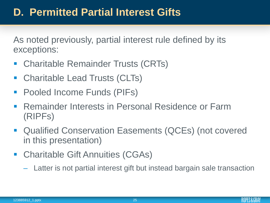As noted previously, partial interest rule defined by its exceptions:

- **Charitable Remainder Trusts (CRTs)**
- Charitable Lead Trusts (CLTs)
- Pooled Income Funds (PIFs)
- Remainder Interests in Personal Residence or Farm (RIPFs)
- Qualified Conservation Easements (QCEs) (not covered in this presentation)
- Charitable Gift Annuities (CGAs)
	- Latter is not partial interest gift but instead bargain sale transaction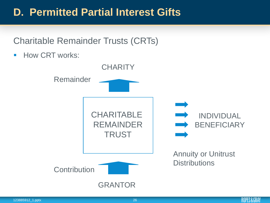Charitable Remainder Trusts (CRTs)

**How CRT works:** 



ROPES&GRAY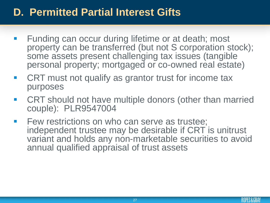- Funding can occur during lifetime or at death; most property can be transferred (but not S corporation stock); some assets present challenging tax issues (tangible personal property; mortgaged or co-owned real estate)
- CRT must not qualify as grantor trust for income tax purposes
- CRT should not have multiple donors (other than married couple): PLR9547004
- **Few restrictions on who can serve as trustee;** independent trustee may be desirable if CRT is unitrust variant and holds any non-marketable securities to avoid annual qualified appraisal of trust assets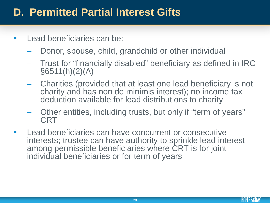- **Lead beneficiaries can be:** 
	- Donor, spouse, child, grandchild or other individual
	- Trust for "financially disabled" beneficiary as defined in IRC  $§6511(h)(2)(A)$
	- Charities (provided that at least one lead beneficiary is not charity and has non de minimis interest); no income tax deduction available for lead distributions to charity
	- Other entities, including trusts, but only if "term of years" CRT
- **Lead beneficiaries can have concurrent or consecutive** interests; trustee can have authority to sprinkle lead interest among permissible beneficiaries where CRT is for joint individual beneficiaries or for term of years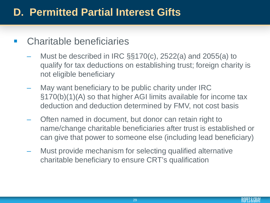#### Charitable beneficiaries

- Must be described in IRC §§170(c), 2522(a) and 2055(a) to qualify for tax deductions on establishing trust; foreign charity is not eligible beneficiary
- May want beneficiary to be public charity under IRC §170(b)(1)(A) so that higher AGI limits available for income tax deduction and deduction determined by FMV, not cost basis
- Often named in document, but donor can retain right to name/change charitable beneficiaries after trust is established or can give that power to someone else (including lead beneficiary)
- Must provide mechanism for selecting qualified alternative charitable beneficiary to ensure CRT's qualification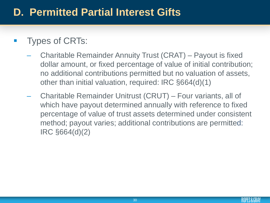#### Types of CRTs:

- Charitable Remainder Annuity Trust (CRAT) Payout is fixed dollar amount, or fixed percentage of value of initial contribution; no additional contributions permitted but no valuation of assets, other than initial valuation, required: IRC §664(d)(1)
- Charitable Remainder Unitrust (CRUT) Four variants, all of which have payout determined annually with reference to fixed percentage of value of trust assets determined under consistent method; payout varies; additional contributions are permitted: IRC §664(d)(2)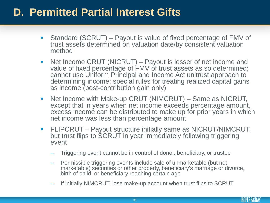- Standard (SCRUT) Payout is value of fixed percentage of FMV of trust assets determined on valuation date/by consistent valuation method
- Net Income CRUT (NICRUT) Payout is lesser of net income and value of fixed percentage of FMV of trust assets as so determined; cannot use Uniform Principal and Income Act unitrust approach to determining income; special rules for treating realized capital gains as income (post-contribution gain only)
- Net Income with Make-up CRUT (NIMCRUT) Same as NICRUT, except that in years when net income exceeds percentage amount, excess income can be distributed to make up for prior years in which net income was less than percentage amount
- **FLIPCRUT** Payout structure initially same as NICRUT/NIMCRUT, but trust flips to SCRUT in year immediately following triggering event
	- Triggering event cannot be in control of donor, beneficiary, or trustee
	- Permissible triggering events include sale of unmarketable (but not marketable) securities or other property, beneficiary's marriage or divorce, birth of child, or beneficiary reaching certain age
	- If initially NIMCRUT, lose make-up account when trust flips to SCRUT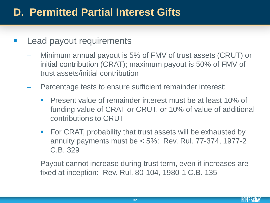#### Lead payout requirements

- Minimum annual payout is 5% of FMV of trust assets (CRUT) or initial contribution (CRAT); maximum payout is 50% of FMV of trust assets/initial contribution
- Percentage tests to ensure sufficient remainder interest:
	- **Present value of remainder interest must be at least 10% of** funding value of CRAT or CRUT, or 10% of value of additional contributions to CRUT
	- **For CRAT, probability that trust assets will be exhausted by** annuity payments must be  $< 5\%$ : Rev. Rul. 77-374, 1977-2 C.B. 329
- Payout cannot increase during trust term, even if increases are fixed at inception: Rev. Rul. 80-104, 1980-1 C.B. 135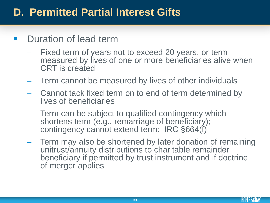#### Duration of lead term

- Fixed term of years not to exceed 20 years, or term measured by lives of one or more beneficiaries alive when CRT is created
- Term cannot be measured by lives of other individuals
- Cannot tack fixed term on to end of term determined by lives of beneficiaries
- Term can be subject to qualified contingency which shortens term (e.g., remarriage of beneficiary); contingency cannot extend term: IRC §664(f)
- Term may also be shortened by later donation of remaining unitrust/annuity distributions to charitable remainder beneficiary if permitted by trust instrument and if doctrine of merger applies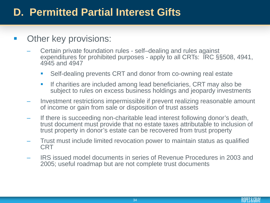#### Other key provisions:

- Certain private foundation rules self–dealing and rules against expenditures for prohibited purposes - apply to all CRTs: IRC §§508, 4941, 4945 and 4947
	- Self-dealing prevents CRT and donor from co-owning real estate
	- **If charities are included among lead beneficiaries, CRT may also be** subject to rules on excess business holdings and jeopardy investments
- Investment restrictions impermissible if prevent realizing reasonable amount of income or gain from sale or disposition of trust assets
- If there is succeeding non-charitable lead interest following donor's death, trust document must provide that no estate taxes attributable to inclusion of trust property in donor's estate can be recovered from trust property
- Trust must include limited revocation power to maintain status as qualified **CRT**
- IRS issued model documents in series of Revenue Procedures in 2003 and 2005; useful roadmap but are not complete trust documents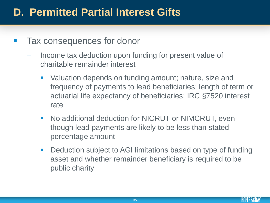- Tax consequences for donor
	- Income tax deduction upon funding for present value of charitable remainder interest
		- Valuation depends on funding amount; nature, size and frequency of payments to lead beneficiaries; length of term or actuarial life expectancy of beneficiaries; IRC §7520 interest rate
		- **No additional deduction for NICRUT or NIMCRUT, even** though lead payments are likely to be less than stated percentage amount
		- **-** Deduction subject to AGI limitations based on type of funding asset and whether remainder beneficiary is required to be public charity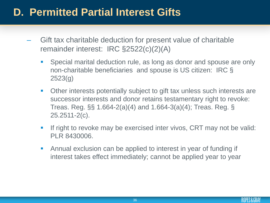- Gift tax charitable deduction for present value of charitable remainder interest: IRC §2522(c)(2)(A)
	- **Special marital deduction rule, as long as donor and spouse are only** non-charitable beneficiaries and spouse is US citizen: IRC § 2523(g)
	- Other interests potentially subject to gift tax unless such interests are successor interests and donor retains testamentary right to revoke: Treas. Reg. §§ 1.664-2(a)(4) and 1.664-3(a)(4); Treas. Reg. § 25.2511-2(c).
	- If right to revoke may be exercised inter vivos, CRT may not be valid: PLR 8430006.
	- Annual exclusion can be applied to interest in year of funding if interest takes effect immediately; cannot be applied year to year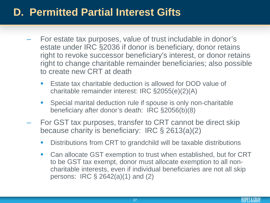- For estate tax purposes, value of trust includable in donor's estate under IRC §2036 if donor is beneficiary, donor retains right to revoke successor beneficiary's interest, or donor retains right to change charitable remainder beneficiaries; also possible to create new CRT at death
	- **Estate tax charitable deduction is allowed for DOD value of** charitable remainder interest: IRC §2055(e)(2)(A)
	- Special marital deduction rule if spouse is only non-charitable beneficiary after donor's death: IRC §2056(b)(8)
- For GST tax purposes, transfer to CRT cannot be direct skip because charity is beneficiary: IRC § 2613(a)(2)
	- Distributions from CRT to grandchild will be taxable distributions
	- Can allocate GST exemption to trust when established, but for CRT to be GST tax exempt, donor must allocate exemption to all noncharitable interests, even if individual beneficiaries are not all skip persons: IRC § 2642(a)(1) and (2)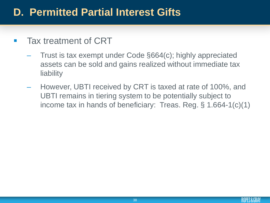#### Tax treatment of CRT

- Trust is tax exempt under Code §664(c); highly appreciated assets can be sold and gains realized without immediate tax liability
- However, UBTI received by CRT is taxed at rate of 100%, and UBTI remains in tiering system to be potentially subject to income tax in hands of beneficiary: Treas. Reg. § 1.664-1(c)(1)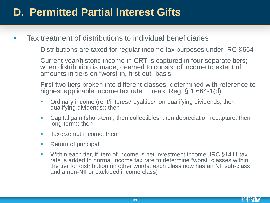- **Tax treatment of distributions to individual beneficiaries** 
	- Distributions are taxed for regular income tax purposes under IRC §664
	- Current year/historic income in CRT is captured in four separate tiers; when distribution is made, deemed to consist of income to extent of amounts in tiers on "worst-in, first-out" basis
	- First two tiers broken into different classes, determined with reference to highest applicable income tax rate: Treas. Reg. § 1.664-1(d)
		- **•** Ordinary income (rent/interest/royalties/non-qualifying dividends, then qualifying dividends); then
		- Capital gain (short-term, then collectibles, then depreciation recapture, then long-term); then
		- **Tax-exempt income; then**
		- Return of principal
		- Within each tier, if item of income is net investment income, IRC §1411 tax rate is added to normal income tax rate to determine "worst" classes within the tier for distribution (in other words, each class now has an NII sub-class and a non-NII or excluded income class)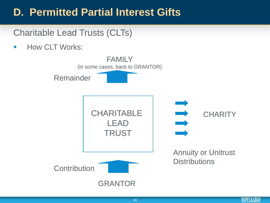Charitable Lead Trusts (CLTs)

**How CLT Works:** 

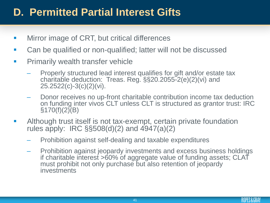- **Mirror image of CRT, but critical differences**
- Can be qualified or non-qualified; latter will not be discussed
- **Primarily wealth transfer vehicle** 
	- Properly structured lead interest qualifies for gift and/or estate tax charitable deduction: Treas. Reg. §§20.2055-2(e)(2)(vi) and 25.2522(c)-3(c)(2)(vi).
	- Donor receives no up-front charitable contribution income tax deduction on funding inter vivos CLT unless CLT is structured as grantor trust: IRC  $§170(f)(2)(B)$
- **EXTE** Although trust itself is not tax-exempt, certain private foundation rules apply: IRC §§508(d)(2) and 4947(a)(2)
	- Prohibition against self-dealing and taxable expenditures
	- Prohibition against jeopardy investments and excess business holdings if charitable interest >60% of aggregate value of funding assets; CLAT must prohibit not only purchase but also retention of jeopardy investments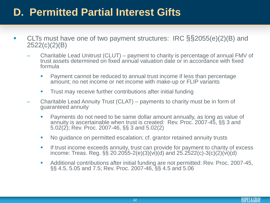- CLTs must have one of two payment structures: IRC §§2055(e)(2)(B) and 2522(c)(2)(B)
	- Charitable Lead Unitrust (CLUT) payment to charity is percentage of annual FMV of trust assets determined on fixed annual valuation date or in accordance with fixed formula
		- **Payment cannot be reduced to annual trust income if less than percentage** amount; no net income or net income with make-up or FLIP variants
		- **Trust may receive further contributions after initial funding**
	- Charitable Lead Annuity Trust (CLAT) payments to charity must be in form of guaranteed annuity
		- **Payments do not need to be same dollar amount annually, as long as value of** annuity is ascertainable when trust is created: Rev. Proc. 2007-45, §§ 3 and 5.02(2); Rev. Proc. 2007-46, §§ 3 and 5.02(2)
		- No quidance on permitted escalation; cf. grantor retained annuity trusts
		- **If trust income exceeds annuity, trust can provide for payment to charity of excess** income: Treas. Reg. §§ 20.2055-2(e)(3)(vi)(d) and  $25.2522(c)$ -3(c)(2)(vi)(d)
		- Additional contributions after initial funding are not permitted: Rev. Proc. 2007-45, §§ 4.5, 5.05 and 7.5; Rev. Proc. 2007-46, §§ 4.5 and 5.06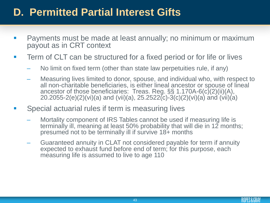- Payments must be made at least annually; no minimum or maximum payout as in CRT context
- **Term of CLT can be structured for a fixed period or for life or lives** 
	- No limit on fixed term (other than state law perpetuities rule, if any)
	- Measuring lives limited to donor, spouse, and individual who, with respect to all non-charitable beneficiaries, is either lineal ancestor or spouse of lineal ancestor of those beneficiaries: Treas. Reg. §§ 1.170A-6(c)(2)(ii)(A), 20.2055-2(e)(2)(vi)(a) and (vii)(a), 25.2522(c)-3(c)(2)(vi)(a) and (vii)(a)
- **Special actuarial rules if term is measuring lives** 
	- Mortality component of IRS Tables cannot be used if measuring life is terminally ill, meaning at least 50% probability that will die in 12 months; presumed not to be terminally ill if survive 18+ months
	- Guaranteed annuity in CLAT not considered payable for term if annuity expected to exhaust fund before end of term; for this purpose, each measuring life is assumed to live to age 110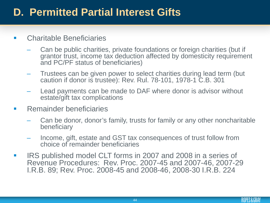#### **E.** Charitable Beneficiaries

- Can be public charities, private foundations or foreign charities (but if grantor trust, income tax deduction affected by domesticity requirement and PC/PF status of beneficiaries)
- Trustees can be given power to select charities during lead term (but caution if donor is trustee): Rev. Rul. 78-101, 1978-1 C.B. 301
- Lead payments can be made to DAF where donor is advisor without estate/gift tax complications
- **Remainder beneficiaries** 
	- Can be donor, donor's family, trusts for family or any other noncharitable beneficiary
	- Income, gift, estate and GST tax consequences of trust follow from choice of remainder beneficiaries
- **IRS published model CLT forms in 2007 and 2008 in a series of** Revenue Procedures: Rev. Proc. 2007-45 and 2007-46, 2007-29 I.R.B. 89; Rev. Proc. 2008-45 and 2008-46, 2008-30 I.R.B. 224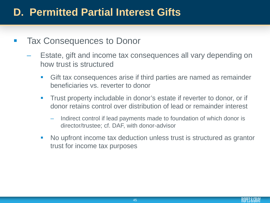- Tax Consequences to Donor
	- Estate, gift and income tax consequences all vary depending on how trust is structured
		- Gift tax consequences arise if third parties are named as remainder beneficiaries vs. reverter to donor
		- **Trust property includable in donor's estate if reverter to donor, or if** donor retains control over distribution of lead or remainder interest
			- Indirect control if lead payments made to foundation of which donor is director/trustee; cf. DAF, with donor-advisor
		- No upfront income tax deduction unless trust is structured as grantor trust for income tax purposes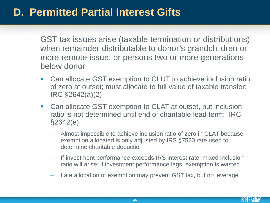- GST tax issues arise (taxable termination or distributions) when remainder distributable to donor's grandchildren or more remote issue, or persons two or more generations below donor
	- Can allocate GST exemption to CLUT to achieve inclusion ratio of zero at outset; must allocate to full value of taxable transfer: IRC §2642(a)(2)
	- Can allocate GST exemption to CLAT at outset, but inclusion ratio is not determined until end of charitable lead term: IRC §2642(e)
		- Almost impossible to achieve inclusion ratio of zero in CLAT because exemption allocated is only adjusted by IRS §7520 rate used to determine charitable deduction
		- If investment performance exceeds IRS interest rate, mixed inclusion ratio will arise; if investment performance lags, exemption is wasted
		- Late allocation of exemption may prevent GST tax, but no leverage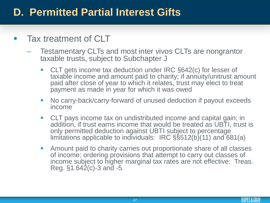#### **Tax treatment of CLT**

- Testamentary CLTs and most inter vivos CLTs are nongrantor taxable trusts, subject to Subchapter J
	- CLT gets income tax deduction under IRC §642(c) for lesser of taxable income and amount paid to charity; if annuity/unitrust amount paid after close of year to which it relates, trust may elect to treat payment as made in year for which it was owed
	- No carry-back/carry-forward of unused deduction if payout exceeds income
	- CLT pays income tax on undistributed income and capital gain; in addition, if trust earns income that would be treated as UBTI, trust is only permitted deduction against UBTI subject to percentage limitations applicable to individuals: IRC §§512(b)(11) and 681(a)
	- **Amount paid to charity carries out proportionate share of all classes** of income; ordering provisions that attempt to carry out classes of income subject to higher marginal tax rates are not effective: Treas. Reg.  $$1.642(c)$ -3 and -5.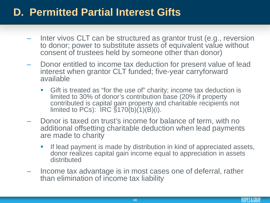- Inter vivos CLT can be structured as grantor trust (e.g., reversion to donor; power to substitute assets of equivalent value without consent of trustees held by someone other than donor)
- Donor entitled to income tax deduction for present value of lead interest when grantor CLT funded; five-year carryforward available
	- Gift is treated as "for the use of" charity; income tax deduction is limited to 30% of donor's contribution base (20% if property contributed is capital gain property and charitable recipients not limited to PCs):  $\overline{\text{IRC}}\ \S 170(\text{b})(1)(\overline{\text{B}})(\overline{\text{i}})$ .
- Donor is taxed on trust's income for balance of term, with no additional offsetting charitable deduction when lead payments are made to charity
	- **If lead payment is made by distribution in kind of appreciated assets,** donor realizes capital gain income equal to appreciation in assets distributed
- Income tax advantage is in most cases one of deferral, rather than elimination of income tax liability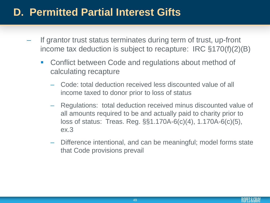- If grantor trust status terminates during term of trust, up-front income tax deduction is subject to recapture: IRC §170(f)(2)(B)
	- Conflict between Code and regulations about method of calculating recapture
		- Code: total deduction received less discounted value of all income taxed to donor prior to loss of status
		- Regulations: total deduction received minus discounted value of all amounts required to be and actually paid to charity prior to loss of status: Treas. Reg. §§1.170A-6(c)(4), 1.170A-6(c)(5), ex.3
		- Difference intentional, and can be meaningful; model forms state that Code provisions prevail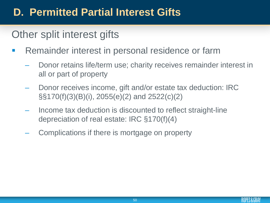# Other split interest gifts

- **Remainder interest in personal residence or farm** 
	- Donor retains life/term use; charity receives remainder interest in all or part of property
	- Donor receives income, gift and/or estate tax deduction: IRC §§170(f)(3)(B)(i), 2055(e)(2) and 2522(c)(2)
	- Income tax deduction is discounted to reflect straight-line depreciation of real estate: IRC §170(f)(4)
	- Complications if there is mortgage on property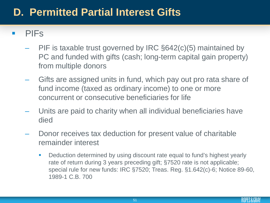#### PIFs

- PIF is taxable trust governed by IRC §642(c)(5) maintained by PC and funded with gifts (cash; long-term capital gain property) from multiple donors
- Gifts are assigned units in fund, which pay out pro rata share of fund income (taxed as ordinary income) to one or more concurrent or consecutive beneficiaries for life
- Units are paid to charity when all individual beneficiaries have died
- Donor receives tax deduction for present value of charitable remainder interest
	- **Deduction determined by using discount rate equal to fund's highest yearly** rate of return during 3 years preceding gift; §7520 rate is not applicable; special rule for new funds: IRC §7520; Treas. Reg. §1.642(c)-6; Notice 89-60, 1989-1 C.B. 700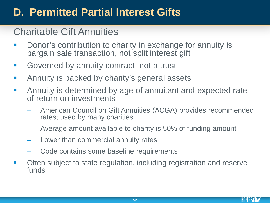#### Charitable Gift Annuities

- **Donor's contribution to charity in exchange for annuity is** bargain sale transaction, not split interest gift
- **Governed by annuity contract; not a trust**
- **EXTERNIMI** Annuity is backed by charity's general assets
- **EXTERGHT Annuity is determined by age of annuitant and expected rate** of return on investments
	- American Council on Gift Annuities (ACGA) provides recommended rates; used by many charities
	- Average amount available to charity is 50% of funding amount
	- Lower than commercial annuity rates
	- Code contains some baseline requirements
- Often subject to state regulation, including registration and reserve funds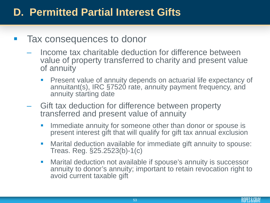- Tax consequences to donor
	- Income tax charitable deduction for difference between value of property transferred to charity and present value of annuity
		- Present value of annuity depends on actuarial life expectancy of annuitant(s), IRC §7520 rate, annuity payment frequency, and annuity starting date
	- Gift tax deduction for difference between property transferred and present value of annuity
		- **IMMEDIATE:** Immediate annuity for someone other than donor or spouse is present interest gift that will qualify for gift tax annual exclusion
		- Marital deduction available for immediate gift annuity to spouse: Treas. Reg. §25.2523(b)-1(c)
		- **Marital deduction not available if spouse's annuity is successor** annuity to donor's annuity; important to retain revocation right to avoid current taxable gift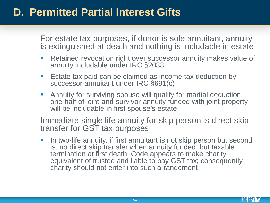- For estate tax purposes, if donor is sole annuitant, annuity is extinguished at death and nothing is includable in estate
	- **Retained revocation right over successor annuity makes value of** annuity includable under IRC §2038
	- **E** Estate tax paid can be claimed as income tax deduction by successor annuitant under IRC §691(c)
	- **Annuity for surviving spouse will qualify for marital deduction;** one-half of joint-and-survivor annuity funded with joint property will be includable in first spouse's estate
- Immediate single life annuity for skip person is direct skip transfer for GST tax purposes
	- I In two-life annuity, if first annuitant is not skip person but second is, no direct skip transfer when annuity funded, but taxable termination at first death; Code appears to make charity equivalent of trustee and liable to pay GST tax; consequently charity should not enter into such arrangement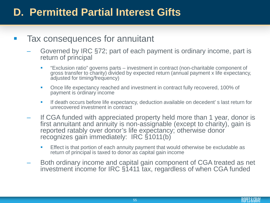#### Tax consequences for annuitant

- Governed by IRC §72; part of each payment is ordinary income, part is return of principal
	- "Exclusion ratio" governs parts investment in contract (non-charitable component of gross transfer to charity) divided by expected return (annual payment x life expectancy, adjusted for timing/frequency)
	- **Once life expectancy reached and investment in contract fully recovered, 100% of** payment is ordinary income
	- If death occurs before life expectancy, deduction available on decedent' s last return for unrecovered investment in contract
- If CGA funded with appreciated property held more than 1 year, donor is first annuitant and annuity is non-assignable (except to charity), gain is reported ratably over donor's life expectancy; otherwise donor recognizes gain immediately: IRC §1011(b)
	- **Effect is that portion of each annuity payment that would otherwise be excludable as** return of principal is taxed to donor as capital gain income
- Both ordinary income and capital gain component of CGA treated as net investment income for IRC §1411 tax, regardless of when CGA funded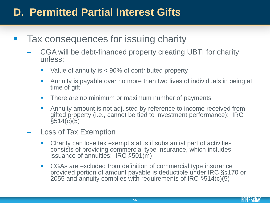- Tax consequences for issuing charity
	- CGA will be debt-financed property creating UBTI for charity unless:
		- Value of annuity is  $<$  90% of contributed property
		- Annuity is payable over no more than two lives of individuals in being at time of gift
		- **There are no minimum or maximum number of payments**
		- Annuity amount is not adjusted by reference to income received from gifted property (i.e., cannot be tied to investment performance): IRC  $\bar$ §514(c)(5)
	- Loss of Tax Exemption
		- Charity can lose tax exempt status if substantial part of activities consists of providing commercial type insurance, which includes issuance of annuities: IRC §501(m)
		- CGAs are excluded from definition of commercial type insurance provided portion of amount payable is deductible under IRC §§170 or 2055 and annuity complies with requirements of IRC §514(c)(5)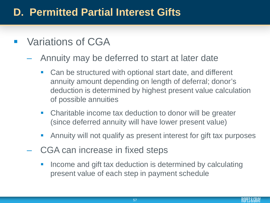- **Variations of CGA** 
	- Annuity may be deferred to start at later date
		- Can be structured with optional start date, and different annuity amount depending on length of deferral; donor's deduction is determined by highest present value calculation of possible annuities
		- Charitable income tax deduction to donor will be greater (since deferred annuity will have lower present value)
		- Annuity will not qualify as present interest for gift tax purposes
	- CGA can increase in fixed steps
		- **Income and gift tax deduction is determined by calculating** present value of each step in payment schedule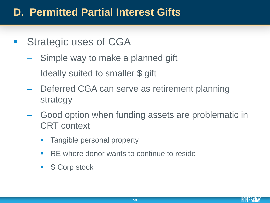- **Strategic uses of CGA** 
	- Simple way to make a planned gift
	- Ideally suited to smaller \$ gift
	- Deferred CGA can serve as retirement planning strategy
	- Good option when funding assets are problematic in CRT context
		- **Tangible personal property**
		- **RE** where donor wants to continue to reside
		- S Corp stock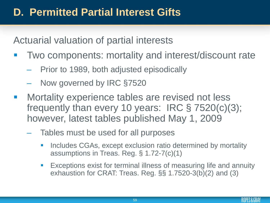Actuarial valuation of partial interests

- Two components: mortality and interest/discount rate
	- Prior to 1989, both adjusted episodically
	- Now governed by IRC §7520
- Mortality experience tables are revised not less frequently than every 10 years: IRC § 7520(c)(3); however, latest tables published May 1, 2009
	- Tables must be used for all purposes
		- **I.** Includes CGAs, except exclusion ratio determined by mortality assumptions in Treas. Reg. § 1.72-7(c)(1)
		- **Exceptions exist for terminal illness of measuring life and annuity** exhaustion for CRAT: Treas. Reg. §§ 1.7520-3(b)(2) and (3)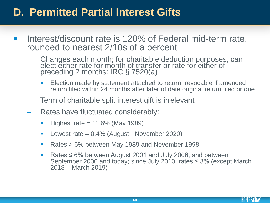- Interest/discount rate is 120% of Federal mid-term rate, rounded to nearest 2/10s of a percent
	- Changes each month; for charitable deduction purposes, can elect either rate for month of transfer or rate for either of preceding 2 months: IRC § 7520(a)
		- **Election made by statement attached to return; revocable if amended** return filed within 24 months after later of date original return filed or due
	- Term of charitable split interest gift is irrelevant
	- Rates have fluctuated considerably:
		- $\blacksquare$  Highest rate = 11.6% (May 1989)
		- **Lowest rate =**  $0.4\%$  **(August November 2020)**
		- Rates > 6% between May 1989 and November 1998
		- Rates ≤ 6% between August 2001 and July 2006, and between September 2006 and today; since July 2010, rates  $\leq$  3% (except March 2018 – March 2019)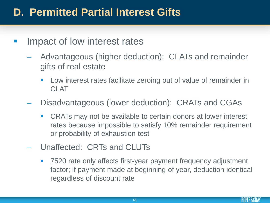- Impact of low interest rates
	- Advantageous (higher deduction): CLATs and remainder gifts of real estate
		- **EXECT** Low interest rates facilitate zeroing out of value of remainder in CLAT
	- Disadvantageous (lower deduction): CRATs and CGAs
		- CRATs may not be available to certain donors at lower interest rates because impossible to satisfy 10% remainder requirement or probability of exhaustion test
	- Unaffected: CRTs and CLUTs
		- 7520 rate only affects first-year payment frequency adjustment factor; if payment made at beginning of year, deduction identical regardless of discount rate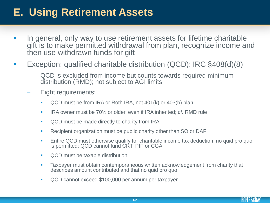## **E. Using Retirement Assets**

- In general, only way to use retirement assets for lifetime charitable gift is to make permitted withdrawal from plan, recognize income and then use withdrawn funds for gift
- Exception: qualified charitable distribution (QCD): IRC §408(d)(8)
	- QCD is excluded from income but counts towards required minimum distribution (RMD); not subject to AGI limits
	- Eight requirements:
		- **QCD** must be from IRA or Roth IRA, not 401(k) or 403(b) plan
		- IRA owner must be 70<sup>1</sup>/<sub>2</sub> or older, even if IRA inherited; *cf.* RMD rule
		- **QCD** must be made directly to charity from IRA
		- **Recipient organization must be public charity other than SO or DAF**
		- **Entire QCD must otherwise qualify for charitable income tax deduction; no quid pro quo** is permitted; QCD cannot fund CRT, PIF or CGA
		- **QCD** must be taxable distribution
		- **Taxpayer must obtain contemporaneous written acknowledgement from charity that** describes amount contributed and that no quid pro quo
		- **QCD** cannot exceed \$100,000 per annum per taxpayer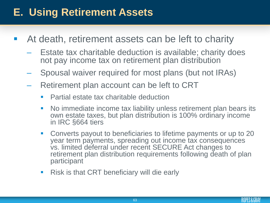## **E. Using Retirement Assets**

- At death, retirement assets can be left to charity
	- Estate tax charitable deduction is available; charity does not pay income tax on retirement plan distribution
	- Spousal waiver required for most plans (but not IRAs)
	- Retirement plan account can be left to CRT
		- **Partial estate tax charitable deduction**
		- No immediate income tax liability unless retirement plan bears its own estate taxes, but plan distribution is 100% ordinary income in IRC §664 tiers
		- Converts payout to beneficiaries to lifetime payments or up to 20 year term payments, spreading out income tax consequences vs. limited deferral under recent SECURE Act changes to retirement plan distribution requirements following death of plan participant
		- Risk is that CRT beneficiary will die early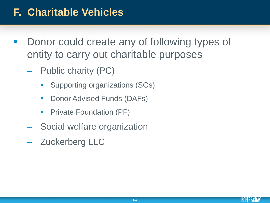- Donor could create any of following types of entity to carry out charitable purposes
	- Public charity (PC)
		- **Supporting organizations (SOs)**
		- **-** Donor Advised Funds (DAFs)
		- **Private Foundation (PF)**
	- Social welfare organization
	- Zuckerberg LLC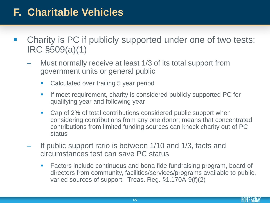- Charity is PC if publicly supported under one of two tests: IRC §509(a)(1)
	- Must normally receive at least 1/3 of its total support from government units or general public
		- **EXE** Calculated over trailing 5 year period
		- **If meet requirement, charity is considered publicly supported PC for** qualifying year and following year
		- Cap of 2% of total contributions considered public support when considering contributions from any one donor; means that concentrated contributions from limited funding sources can knock charity out of PC status
	- If public support ratio is between 1/10 and 1/3, facts and circumstances test can save PC status
		- **Factors include continuous and bona fide fundraising program, board of** directors from community, facilities/services/programs available to public, varied sources of support: Treas. Reg. §1.170A-9(f)(2)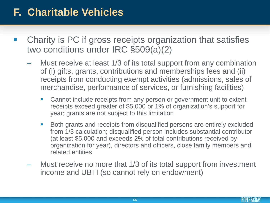- Charity is PC if gross receipts organization that satisfies two conditions under IRC §509(a)(2)
	- Must receive at least 1/3 of its total support from any combination of (i) gifts, grants, contributions and memberships fees and (ii) receipts from conducting exempt activities (admissions, sales of merchandise, performance of services, or furnishing facilities)
		- **EXEC** Cannot include receipts from any person or government unit to extent receipts exceed greater of \$5,000 or 1% of organization's support for year; grants are not subject to this limitation
		- **Both grants and receipts from disqualified persons are entirely excluded** from 1/3 calculation; disqualified person includes substantial contributor (at least \$5,000 and exceeds 2% of total contributions received by organization for year), directors and officers, close family members and related entities
	- Must receive no more that 1/3 of its total support from investment income and UBTI (so cannot rely on endowment)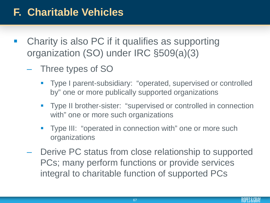- Charity is also PC if it qualifies as supporting organization (SO) under IRC §509(a)(3)
	- Three types of SO
		- **Type I parent-subsidiary: "operated, supervised or controlled** by" one or more publically supported organizations
		- **Type II brother-sister: "supervised or controlled in connection** with" one or more such organizations
		- **Type III: "operated in connection with" one or more such** organizations
	- Derive PC status from close relationship to supported PCs; many perform functions or provide services integral to charitable function of supported PCs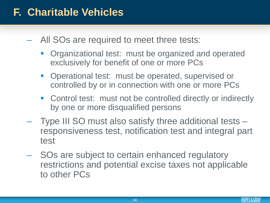- All SOs are required to meet three tests:
	- Organizational test: must be organized and operated exclusively for benefit of one or more PCs
	- **Operational test: must be operated, supervised or** controlled by or in connection with one or more PCs
	- Control test: must not be controlled directly or indirectly by one or more disqualified persons
- Type III SO must also satisfy three additional tests responsiveness test, notification test and integral part test
- SOs are subject to certain enhanced regulatory restrictions and potential excise taxes not applicable to other PCs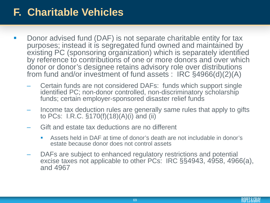- Donor advised fund (DAF) is not separate charitable entity for tax purposes; instead it is segregated fund owned and maintained by existing PC (sponsoring organization) which is separately identified by reference to contributions of one or more donors and over which donor or donor's designee retains advisory role over distributions from fund and/or investment of fund assets : IRC §4966(d)(2)(A)
	- Certain funds are not considered DAFs: funds which support single identified PC; non-donor controlled, non-discriminatory scholarship funds; certain employer-sponsored disaster relief funds
	- Income tax deduction rules are generally same rules that apply to gifts to PCs: I.R.C. §170(f)(18)(A)(i) and (ii)
	- Gift and estate tax deductions are no different
		- Assets held in DAF at time of donor's death are not includable in donor's estate because donor does not control assets
	- DAFs are subject to enhanced regulatory restrictions and potential excise taxes not applicable to other PCs: IRC §§4943, 4958, 4966(a), and 4967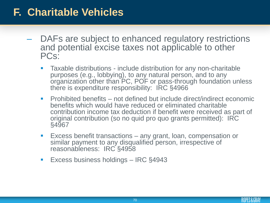- DAFs are subject to enhanced regulatory restrictions and potential excise taxes not applicable to other PCs:
	- Taxable distributions include distribution for any non-charitable purposes (e.g., lobbying), to any natural person, and to any organization other than PC, POF or pass-through foundation unless there is expenditure responsibility: IRC §4966
	- Prohibited benefits not defined but include direct/indirect economic benefits which would have reduced or eliminated charitable contribution income tax deduction if benefit were received as part of original contribution (so no quid pro quo grants permitted): IRC §4967
	- **Excess benefit transactions any grant, loan, compensation or** similar payment to any disqualified person, irrespective of reasonableness: IRC §4958
	- Excess business holdings IRC §4943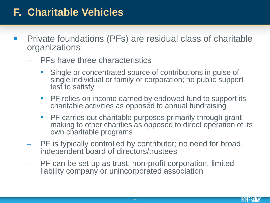- **Private foundations (PFs) are residual class of charitable** organizations
	- PFs have three characteristics
		- **Single or concentrated source of contributions in guise of** single individual or family or corporation; no public support test to satisfy
		- **PF relies on income earned by endowed fund to support its** charitable activities as opposed to annual fundraising
		- **PF carries out charitable purposes primarily through grant** making to other charities as opposed to direct operation of its own charitable programs
	- PF is typically controlled by contributor; no need for broad, independent board of directors/trustees
	- PF can be set up as trust, non-profit corporation, limited liability company or unincorporated association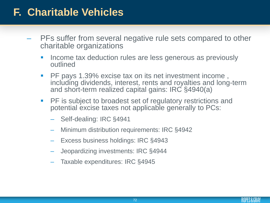- PFs suffer from several negative rule sets compared to other charitable organizations
	- **If all income tax deduction rules are less generous as previously** outlined
	- PF pays 1.39% excise tax on its net investment income, including dividends, interest, rents and royalties and long-term and short-term realized capital gains: IRC §4940(a)
	- **PH** is subject to broadest set of regulatory restrictions and potential excise taxes not applicable generally to PCs:
		- Self-dealing: IRC §4941
		- Minimum distribution requirements: IRC §4942
		- Excess business holdings: IRC §4943
		- Jeopardizing investments: IRC §4944
		- Taxable expenditures: IRC §4945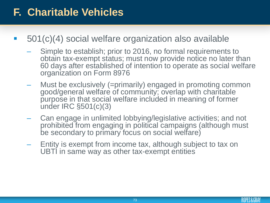#### **F. Charitable Vehicles**

- 501(c)(4) social welfare organization also available
	- Simple to establish; prior to 2016, no formal requirements to obtain tax-exempt status; must now provide notice no later than 60 days after established of intention to operate as social welfare organization on Form 8976
	- Must be exclusively (=primarily) engaged in promoting common good/general welfare of community; overlap with charitable purpose in that social welfare included in meaning of former under IRC §501(c)(3)
	- Can engage in unlimited lobbying/legislative activities; and not prohibited from engaging in political campaigns (although must be secondary to primary focus on social welfare)
	- Entity is exempt from income tax, although subject to tax on UBTI in same way as other tax-exempt entities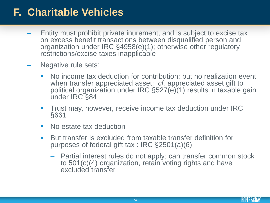#### **F. Charitable Vehicles**

- Entity must prohibit private inurement, and is subject to excise tax on excess benefit transactions between disqualified person and organization under IRC §4958(e)(1); otherwise other regulatory restrictions/excise taxes inapplicable
- Negative rule sets:
	- No income tax deduction for contribution; but no realization event when transfer appreciated asset: *cf.* appreciated asset gift to political organization under IRC §527(e)(1) results in taxable gain under IRC §84
	- **Trust may, however, receive income tax deduction under IRC** §661
	- No estate tax deduction
	- But transfer is excluded from taxable transfer definition for purposes of federal gift tax : IRC §2501(a)(6)
		- Partial interest rules do not apply; can transfer common stock to 501(c)(4) organization, retain voting rights and have excluded transfer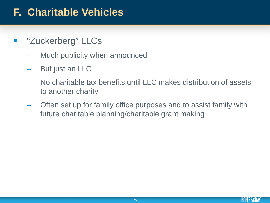#### **F. Charitable Vehicles**

- **E** "Zuckerberg" LLCs
	- Much publicity when announced
	- But just an LLC
	- No charitable tax benefits until LLC makes distribution of assets to another charity
	- Often set up for family office purposes and to assist family with future charitable planning/charitable grant making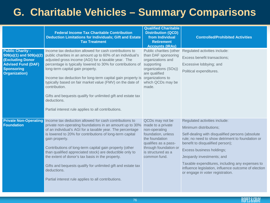|                                                                                                                                                          | <b>Federal Income Tax Charitable Contribution</b><br><b>Deduction Limitations for Individuals; Gift and Estate</b><br><b>Tax Treatment</b>                                                                                                                                                                                                                                                                                                                                                                                                                                                                  | <b>Qualified Charitable</b><br><b>Distribution (QCD)</b><br>from Individual<br><b>Retirement</b><br><b>Accounts (IRAs)</b>                                                           | <b>Controlled/Prohibited Activities</b>                                                                                                                                                                                                                                                                                                                                                                      |
|----------------------------------------------------------------------------------------------------------------------------------------------------------|-------------------------------------------------------------------------------------------------------------------------------------------------------------------------------------------------------------------------------------------------------------------------------------------------------------------------------------------------------------------------------------------------------------------------------------------------------------------------------------------------------------------------------------------------------------------------------------------------------------|--------------------------------------------------------------------------------------------------------------------------------------------------------------------------------------|--------------------------------------------------------------------------------------------------------------------------------------------------------------------------------------------------------------------------------------------------------------------------------------------------------------------------------------------------------------------------------------------------------------|
| <b>Public Charity -</b><br>509(a)(1) and 509(a)(2)<br><b>(Excluding Donor</b><br><b>Advised Fund (DAF)</b><br><b>Sponsoring</b><br><b>Organization</b> ) | Income tax deduction allowed for cash contributions to<br>public charities in an amount up to 60% of an individual's<br>adjusted gross income (AGI) for a taxable year. The<br>percentage is typically lowered to 30% for contributions of<br>long-term capital gain property.<br>Income tax deduction for long-term capital gain property is organizations to<br>typically based on fair market value (FMV) on the date of<br>contribution.<br>Gifts and bequests qualify for unlimited gift and estate tax<br>deductions.<br>Partial interest rule applies to all contributions.                          | Public charities (other<br>than DAF sponsoring<br>organizations and<br>supporting<br>organizations (SOs))<br>are qualified<br>which QCDs may be<br>made.                             | Regulated activities include:<br>Excess benefit transactions;<br>Excessive lobbying; and<br>Political expenditures.                                                                                                                                                                                                                                                                                          |
| <b>Foundation</b>                                                                                                                                        | <b>Private Non-Operating Income tax deduction allowed for cash contributions to</b><br>private non-operating foundations in an amount up to 30%<br>of an individual's AGI for a taxable year. The percentage<br>is lowered to 20% for contributions of long-term capital<br>gain property.<br>Contributions of long-term capital gain property (other<br>than qualified appreciated stock) are deductible only to<br>the extent of donor's tax basis in the property.<br>Gifts and bequests qualify for unlimited gift and estate tax<br>deductions.<br>Partial interest rule applies to all contributions. | QCDs may not be<br>made to a private<br>non-operating<br>foundation, unless<br>the foundation<br>qualifies as a pass-<br>through foundation or<br>is structured as a<br>common fund. | Regulated activities include:<br>Minimum distributions;<br>Self-dealing with disqualified persons (absolute<br>rule; no need to show detriment to foundation or<br>benefit to disqualified person);<br>Excess business holdings;<br>Jeopardy investments; and<br>Taxable expenditures, including any expenses to<br>influence legislation, influence outcome of election<br>or engage in voter registration. |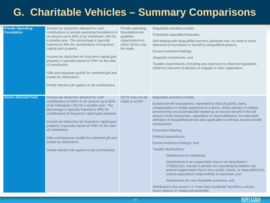| <b>Private Operating</b><br><b>Foundation</b> | Income tax deduction allowed for cash<br>contributions to private operating foundations in<br>an amount up to 60% of an individual's AGI for<br>a taxable year. The percentage is typically<br>lowered to 30% for contributions of long-term<br>capital gain property.<br>Income tax deduction for long-term capital gain<br>property is typically based on FMV on the date<br>of contribution.<br>Gifts and bequests qualify for unlimited gift and<br>estate tax deductions.<br>Partial interest rule applies to all contributions. | Private operating<br>foundations are<br>qualified<br>organizations to<br>which QCDs may<br>be made. | Regulated activities include:<br>Charitable expenditures/assets;<br>Self-dealing with disqualified persons (absolute rule; no need to show<br>detriment to foundation or benefit to disqualified person);<br>Excess business holdings;<br>Jeopardy investments; and<br>Taxable expenditures, including any expenses to influence legislation,<br>influence outcome of election or engage in voter registration.                                                                                                                                                                                                                                                                                                                                                                                                                                                                                                                                                                                                       |
|-----------------------------------------------|---------------------------------------------------------------------------------------------------------------------------------------------------------------------------------------------------------------------------------------------------------------------------------------------------------------------------------------------------------------------------------------------------------------------------------------------------------------------------------------------------------------------------------------|-----------------------------------------------------------------------------------------------------|-----------------------------------------------------------------------------------------------------------------------------------------------------------------------------------------------------------------------------------------------------------------------------------------------------------------------------------------------------------------------------------------------------------------------------------------------------------------------------------------------------------------------------------------------------------------------------------------------------------------------------------------------------------------------------------------------------------------------------------------------------------------------------------------------------------------------------------------------------------------------------------------------------------------------------------------------------------------------------------------------------------------------|
| <b>Donor Advised Fund</b>                     | Income tax deduction allowed for cash<br>contributions to DAFs in an amount up to 60%<br>of an individual's AGI for a taxable year. The<br>percentage is typically lowered to 30% for<br>contributions of long-term capital gain property.<br>Income tax deduction for long-term capital gain<br>property is typically based on FMV on the date<br>of contribution.<br>Gifts and bequests qualify for unlimited gift and<br>estate tax deductions.<br>Partial interest rule applies to all contributions.                             | QCDs may not be<br>made to a DAF.                                                                   | Regulated activities include:<br>Excess benefit transactions, expanded so that all grants, loans,<br>compensation or similar payments to a donor, donor-advisor or related<br>person/entity are automatically treated as an excess benefit in the full<br>amount of the transaction, regardless of reasonableness; an expanded<br>definition of disqualified person also applicable to ordinary excess benefit<br>transactions:<br>Excessive lobbying;<br>Political expenditures;<br>Excess business holdings; and<br>Taxable distributions:<br>Distributions to individuals,<br>Distributions to an organization that is not described in<br>170(b)(1)(A), namely a private non-operating foundation, tax-<br>exempt organization that is not a public charity, or disqualified SO,<br>unless expenditure responsibility is exercised, and<br>Distributions for non-charitable purposes; and<br>Distributions that result in a "more than incidental" benefit to a donor,<br>donor-advisor or related person/entity. |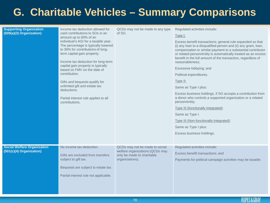| <b>Supporting Organization</b><br>(509(a)(3) Organization)     | Income tax deduction allowed for<br>cash contributions to SOs in an<br>amount up to 60% of an<br>individual's AGI for a taxable year.<br>The percentage is typically lowered<br>to 30% for contributions of long-<br>term capital gain property.<br>Income tax deduction for long-term<br>capital gain property is typically<br>based on FMV on the date of<br>contribution.<br>Gifts and bequests qualify for<br>unlimited gift and estate tax<br>deductions.<br>Partial interest rule applies to all<br>contributions. | QCDs may not be made to any type<br>of SO.                                                                         | Regulated activities include:<br>Type I:<br>Excess benefit transactions; general rule expanded so that<br>(i) any loan to a disqualified person and (ii) any grant, loan,<br>compensation or similar payment to a substantial contributor<br>or related person/entity is automatically treated as an excess<br>benefit in the full amount of the transaction, regardless of<br>reasonableness;<br>Excessive lobbying; and<br>Political expenditures.<br>Type II:<br>Same as Type I plus:<br>Excess business holdings, if SO accepts a contribution from<br>a donor who controls a supported organization or a related<br>person/entity.<br>Type III (functionally integrated):<br>Same as Type I.<br>Type III (Non-functionally integrated):<br>Same as Type I plus:<br>Excess business holdings. |
|----------------------------------------------------------------|--------------------------------------------------------------------------------------------------------------------------------------------------------------------------------------------------------------------------------------------------------------------------------------------------------------------------------------------------------------------------------------------------------------------------------------------------------------------------------------------------------------------------|--------------------------------------------------------------------------------------------------------------------|---------------------------------------------------------------------------------------------------------------------------------------------------------------------------------------------------------------------------------------------------------------------------------------------------------------------------------------------------------------------------------------------------------------------------------------------------------------------------------------------------------------------------------------------------------------------------------------------------------------------------------------------------------------------------------------------------------------------------------------------------------------------------------------------------|
| <b>Social Welfare Organization</b><br>(501(c)(4) Organization) | No income tax deduction.<br>Gifts are excluded from transfers<br>subject to gift tax.<br>Bequests are subject to estate tax.<br>Partial interest rule not applicable.                                                                                                                                                                                                                                                                                                                                                    | QCDs may not be made to social<br>welfare organizations (QCDs may<br>only be made to charitable<br>organizations). | Regulated activities include:<br>Excess benefit transactions; and<br>Payments for political campaign activities may be taxable.                                                                                                                                                                                                                                                                                                                                                                                                                                                                                                                                                                                                                                                                   |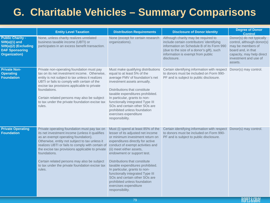|                                                                                                                      | <b>Entity Level Taxation</b>                                                                                                                                                                                                                                                                                                                                                                                              | <b>Distribution Requirements</b>                                                                                                                                                                                                                                                                                                                                                                                                                                                                    | <b>Disclosure of Donor Identity</b>                                                                                                                                                                                            | <b>Degree of Donor</b><br><b>Control</b>                                                                                                                            |
|----------------------------------------------------------------------------------------------------------------------|---------------------------------------------------------------------------------------------------------------------------------------------------------------------------------------------------------------------------------------------------------------------------------------------------------------------------------------------------------------------------------------------------------------------------|-----------------------------------------------------------------------------------------------------------------------------------------------------------------------------------------------------------------------------------------------------------------------------------------------------------------------------------------------------------------------------------------------------------------------------------------------------------------------------------------------------|--------------------------------------------------------------------------------------------------------------------------------------------------------------------------------------------------------------------------------|---------------------------------------------------------------------------------------------------------------------------------------------------------------------|
| <b>Public Charity -</b><br>$509(a)(1)$ and<br>509(a)(2) (Excluding<br><b>DAF Sponsoring</b><br><b>Organization</b> ) | None, unless charity realizes unrelated<br>business taxable income (UBTI) or<br>participates in an excess benefit transaction.                                                                                                                                                                                                                                                                                            | None (except for certain research<br>organizations).                                                                                                                                                                                                                                                                                                                                                                                                                                                | Although charity may be required to<br>include certain contributors' identifying<br>information on Schedule B of its Form 990<br>(due to the size of a donor's gift), such<br>information is exempt from public<br>disclosure. | Donor(s) do not typically<br>control, although donor(s)<br>may be members of<br>board and, in that<br>capacity, may help direct<br>investment and use of<br>assets. |
| <b>Private Non-</b><br><b>Operating</b><br><b>Foundation</b>                                                         | Private non-operating foundation must pay<br>tax on its net investment income. Otherwise,<br>entity is not subject to tax unless it realizes<br>UBTI or fails to comply with certain of the<br>excise tax provisions applicable to private<br>foundations.<br>Certain related persons may also be subject<br>to tax under the private foundation excise tax<br>rules.                                                     | Must make qualifying distributions<br>equal to at least 5% of the<br>average FMV of foundation's net<br>investment assets annually.<br>Distributions that constitute<br>taxable expenditures prohibited.<br>In particular, grants to non-<br>functionally integrated Type III<br>SOs and certain other SOs are<br>prohibited unless foundation<br>exercises expenditure<br>responsibility.                                                                                                          | Certain identifying information with respect<br>to donors must be included on Form 990-<br>PF and is subject to public disclosure.                                                                                             | Donor(s) may control.                                                                                                                                               |
| <b>Private Operating</b><br><b>Foundation</b>                                                                        | Private operating foundation must pay tax on<br>its net investment income (unless it qualifies<br>as an exempt operating foundation).<br>Otherwise, entity not subject to tax unless it<br>realizes UBTI or fails to comply with certain of<br>the excise tax provisions applicable to private<br>foundations.<br>Certain related persons may also be subject<br>to tax under the private foundation excise tax<br>rules. | Must (i) spend at least 85% of the<br>lesser of its adjusted net income<br>or minimum investment return on<br>expenditures directly for active<br>conduct of exempt activities and<br>(ii) meet either assets,<br>endowment or support test.<br>Distributions that constitute<br>taxable expenditures prohibited.<br>In particular, grants to non-<br>functionally integrated Type III<br>SOs and certain other SOs are<br>prohibited unless foundation<br>exercises expenditure<br>responsibility. | Certain identifying information with respect<br>to donors must be included on Form 990-<br>PF and is subject to public disclosure.                                                                                             | Donor(s) may control.                                                                                                                                               |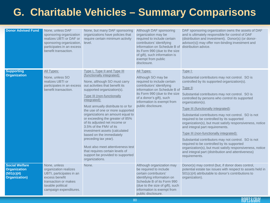| <b>Donor Advised Fund</b>                                                          | None, unless DAF<br>sponsoring organization<br>realizes UBTI or DAF or<br>sponsoring organization,<br>participates in an excess<br>benefit transaction.    | None, but many DAF sponsoring<br>organizations have policies that<br>require certain minimum activity<br>level.                                                                                                                                                                                                                                                                                                                                                                                                                                                                                                                                 | Although DAF sponsoring<br>organization may be<br>required to include certain<br>contributors' identifying<br>information on Schedule B of<br>its Form 990 (due to the size<br>of gift), such information is<br>exempt from public<br>disclosure. | DAF sponsoring organization owns the assets of DAF<br>and is ultimately responsible for control of DAF<br>(distribution and investment). Donor(s) (or donor-<br>advisor(s)) may offer non-binding investment and<br>distribution advice.                                                                                                                                                                                                                                                                                                                                                                                                                                                                                                                                              |
|------------------------------------------------------------------------------------|------------------------------------------------------------------------------------------------------------------------------------------------------------|-------------------------------------------------------------------------------------------------------------------------------------------------------------------------------------------------------------------------------------------------------------------------------------------------------------------------------------------------------------------------------------------------------------------------------------------------------------------------------------------------------------------------------------------------------------------------------------------------------------------------------------------------|---------------------------------------------------------------------------------------------------------------------------------------------------------------------------------------------------------------------------------------------------|---------------------------------------------------------------------------------------------------------------------------------------------------------------------------------------------------------------------------------------------------------------------------------------------------------------------------------------------------------------------------------------------------------------------------------------------------------------------------------------------------------------------------------------------------------------------------------------------------------------------------------------------------------------------------------------------------------------------------------------------------------------------------------------|
| <b>Supporting</b><br><b>Organization</b>                                           | All Types:<br>None, unless SO<br>realizes UBTI or<br>participates in an excess<br>benefit transaction.                                                     | Type I, Type II and Type III<br>(functionally integrated):<br>None, although SO must carry<br>out activities that benefit its<br>supported organization(s).<br><b>Type III (non-functionally</b><br>integrated):<br>Must annually distribute to or for<br>the use of one or more supported<br>organizations an amount equal to<br>or exceeding the greater of 85%<br>of its adjusted net income or<br>3.5% of the FMV of its<br>investment assets (calculated<br>based on the immediately<br>preceding tax year).<br>Must also meet attentiveness test<br>that requires certain levels of<br>support be provided to supported<br>organizations. | All Types:<br>Although SO may be<br>required to include certain<br>contributors' identifying<br>information on Schedule B of<br>its Form 990 (due to the size<br>of a donor's gift), such<br>information is exempt from<br>public disclosure.     | <u>Type I:</u><br>Substantial contributors may not control. SO is<br>controlled by its supported organization(s).<br>Type II:<br>Substantial contributors may not control. SO is<br>controlled by persons who control its supported<br>organization(s).<br>Type III (functionally integrated):<br>Substantial contributors may not control. SO is not<br>required to be controlled by its supported<br>organization(s), but must satisfy responsiveness, notice<br>and integral part requirements.<br>Type III (non-functionally integrated):<br>Substantial contributors may not control. SO is not<br>required to be controlled by its supported<br>organization(s), but must satisfy responsiveness, notice<br>and integral part (distribution and attentiveness)<br>requirements. |
| <b>Social Welfare</b><br><b>Organization</b><br>(501(c)(4)<br><b>Organization)</b> | None, unless<br>organization realizes<br>UBTI, participates in an<br>excess benefit<br>transaction or makes<br>taxable political<br>campaign expenditures. | None.                                                                                                                                                                                                                                                                                                                                                                                                                                                                                                                                                                                                                                           | Although organization may<br>be required to include<br>certain contributors'<br>identifying information on<br>Schedule B of its Form 990<br>(due to the size of gift), such<br>information is exempt from<br>public disclosure.                   | Donor(s) may control (but, if donor does control,<br>potential estate tax issues with respect to assets held in<br>501(c)(4) attributable to donor's contributions to<br>organization).                                                                                                                                                                                                                                                                                                                                                                                                                                                                                                                                                                                               |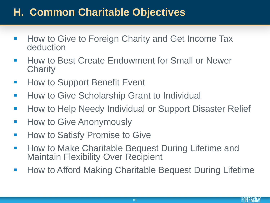#### **H. Common Charitable Objectives**

- How to Give to Foreign Charity and Get Income Tax deduction
- How to Best Create Endowment for Small or Newer **Charity**
- How to Support Benefit Event
- **-** How to Give Scholarship Grant to Individual
- **How to Help Needy Individual or Support Disaster Relief**
- **-** How to Give Anonymously
- **How to Satisfy Promise to Give**
- **How to Make Charitable Bequest During Lifetime and** Maintain Flexibility Over Recipient
- **How to Afford Making Charitable Bequest During Lifetime**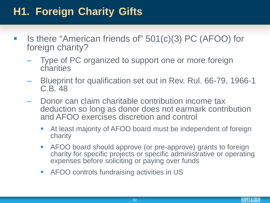# **H1. Foreign Charity Gifts**

- Is there "American friends of" 501(c)(3) PC (AFOO) for foreign charity?
	- Type of PC organized to support one or more foreign charities
	- Blueprint for qualification set out in Rev. Rul. 66-79, 1966-1 C.B. 48
	- Donor can claim charitable contribution income tax deduction so long as donor does not earmark contribution and AFOO exercises discretion and control
		- At least majority of AFOO board must be independent of foreign charity
		- AFOO board should approve (or pre-approve) grants to foreign charity for specific projects or specific administrative or operating expenses before soliciting or paying over funds
		- AFOO controls fundraising activities in US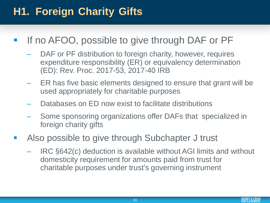# **H1. Foreign Charity Gifts**

- If no AFOO, possible to give through DAF or PF
	- DAF or PF distribution to foreign charity, however, requires expenditure responsibility (ER) or equivalency determination (ED): Rev. Proc. 2017-53, 2017-40 IRB
	- ER has five basic elements designed to ensure that grant will be used appropriately for charitable purposes
	- Databases on ED now exist to facilitate distributions
	- Some sponsoring organizations offer DAFs that specialized in foreign charity gifts
- Also possible to give through Subchapter J trust
	- IRC §642(c) deduction is available without AGI limits and without domesticity requirement for amounts paid from trust for charitable purposes under trust's governing instrument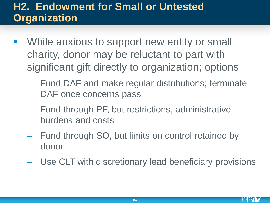#### **H2. Endowment for Small or Untested Organization**

- While anxious to support new entity or small charity, donor may be reluctant to part with significant gift directly to organization; options
	- Fund DAF and make regular distributions; terminate DAF once concerns pass
	- Fund through PF, but restrictions, administrative burdens and costs
	- Fund through SO, but limits on control retained by donor
	- Use CLT with discretionary lead beneficiary provisions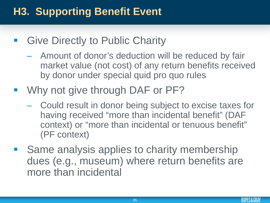# **H3. Supporting Benefit Event**

- **Give Directly to Public Charity** 
	- Amount of donor's deduction will be reduced by fair market value (not cost) of any return benefits received by donor under special quid pro quo rules
- Why not give through DAF or PF?
	- Could result in donor being subject to excise taxes for having received "more than incidental benefit" (DAF context) or "more than incidental or tenuous benefit" (PF context)
- Same analysis applies to charity membership dues (e.g., museum) where return benefits are more than incidental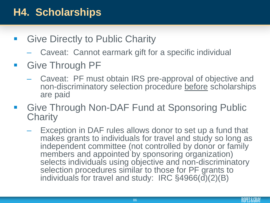### **H4. Scholarships**

- Give Directly to Public Charity
	- Caveat: Cannot earmark gift for a specific individual
- **Give Through PF** 
	- Caveat: PF must obtain IRS pre-approval of objective and non-discriminatory selection procedure before scholarships are paid
- Give Through Non-DAF Fund at Sponsoring Public **Charity** 
	- Exception in DAF rules allows donor to set up a fund that makes grants to individuals for travel and study so long as independent committee (not controlled by donor or family members and appointed by sponsoring organization) selects individuals using objective and non-discriminatory selection procedures similar to those for PF grants to individuals for travel and study: IRC §4966(d)(2)(B)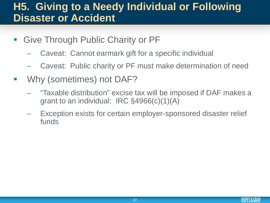#### **H5. Giving to a Needy Individual or Following Disaster or Accident**

- **Give Through Public Charity or PF** 
	- Caveat: Cannot earmark gift for a specific individual
	- Caveat: Public charity or PF must make determination of need
- **Why (sometimes) not DAF?** 
	- "Taxable distribution" excise tax will be imposed if DAF makes a grant to an individual: IRC §4966(c)(1)(A)
	- Exception exists for certain employer-sponsored disaster relief funds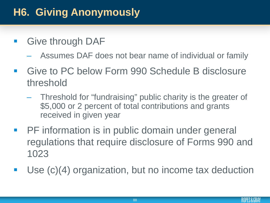# **H6. Giving Anonymously**

- **Give through DAF** 
	- Assumes DAF does not bear name of individual or family
- Give to PC below Form 990 Schedule B disclosure threshold
	- Threshold for "fundraising" public charity is the greater of \$5,000 or 2 percent of total contributions and grants received in given year
- **PHET information is in public domain under general** regulations that require disclosure of Forms 990 and 1023
- Use (c)(4) organization, but no income tax deduction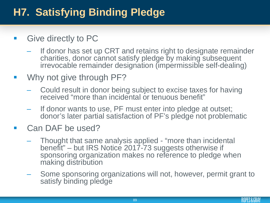# **H7. Satisfying Binding Pledge**

- **Give directly to PC** 
	- If donor has set up CRT and retains right to designate remainder charities, donor cannot satisfy pledge by making subsequent irrevocable remainder designation (impermissible self-dealing)
- **Why not give through PF?** 
	- Could result in donor being subject to excise taxes for having received "more than incidental or tenuous benefit"
	- If donor wants to use, PF must enter into pledge at outset; donor's later partial satisfaction of PF's pledge not problematic
- **Can DAF be used?** 
	- Thought that same analysis applied "more than incidental benefit" – but IRS Notice 2017-73 suggests otherwise if sponsoring organization makes no reference to pledge when making distribution
	- Some sponsoring organizations will not, however, permit grant to satisfy binding pledge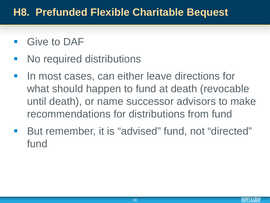#### **H8. Prefunded Flexible Charitable Bequest**

- Give to DAF
- No required distributions
- In most cases, can either leave directions for what should happen to fund at death (revocable until death), or name successor advisors to make recommendations for distributions from fund
- But remember, it is "advised" fund, not "directed" fund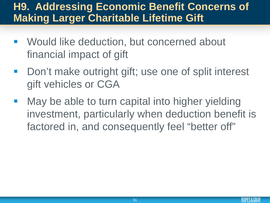#### **H9. Addressing Economic Benefit Concerns of Making Larger Charitable Lifetime Gift**

- Would like deduction, but concerned about financial impact of gift
- Don't make outright gift; use one of split interest gift vehicles or CGA
- May be able to turn capital into higher yielding investment, particularly when deduction benefit is factored in, and consequently feel "better off"